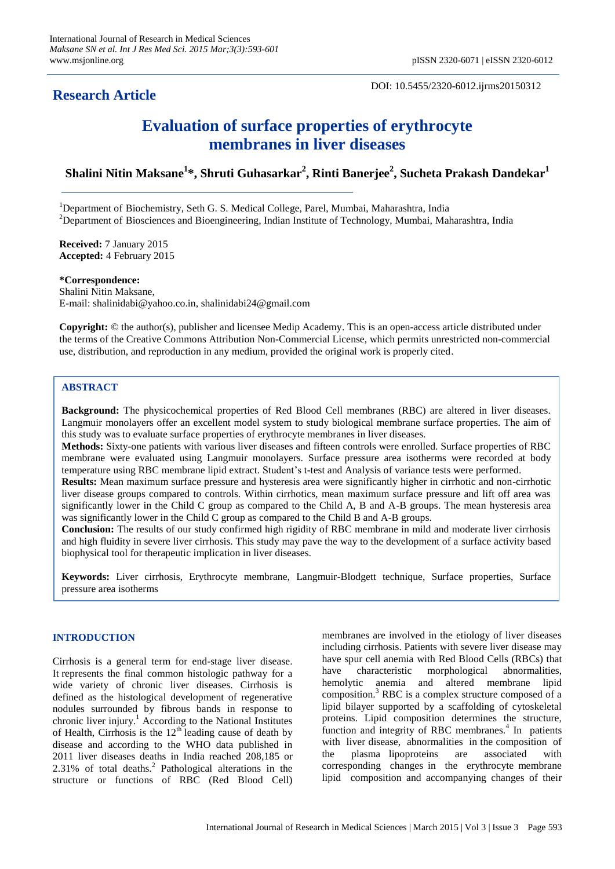# **Research Article**

DOI: 10.5455/2320-6012.ijrms20150312

# **Evaluation of surface properties of erythrocyte membranes in liver diseases**

**Shalini Nitin Maksane<sup>1</sup> \*, Shruti Guhasarkar<sup>2</sup> , Rinti Banerjee<sup>2</sup> , Sucheta Prakash Dandekar<sup>1</sup>**

<sup>1</sup>Department of Biochemistry, Seth G. S. Medical College, Parel, Mumbai, Maharashtra, India  $2D$  Department of Biosciences and Bioengineering, Indian Institute of Technology, Mumbai, Maharashtra, India

**Received:** 7 January 2015 **Accepted:** 4 February 2015

**\*Correspondence:**

Shalini Nitin Maksane, E-mail: shalinidabi@yahoo.co.in, shalinidabi24@gmail.com

**Copyright:** © the author(s), publisher and licensee Medip Academy. This is an open-access article distributed under the terms of the Creative Commons Attribution Non-Commercial License, which permits unrestricted non-commercial use, distribution, and reproduction in any medium, provided the original work is properly cited.

# **ABSTRACT**

**Background:** The physicochemical properties of Red Blood Cell membranes (RBC) are altered in liver diseases. Langmuir monolayers offer an excellent model system to study biological membrane surface properties. The aim of this study was to evaluate surface properties of erythrocyte membranes in liver diseases.

**Methods:** Sixty-one patients with various liver diseases and fifteen controls were enrolled. Surface properties of RBC membrane were evaluated using Langmuir monolayers. Surface pressure area isotherms were recorded at body temperature using RBC membrane lipid extract. Student"s t-test and Analysis of variance tests were performed.

**Results:** Mean maximum surface pressure and hysteresis area were significantly higher in cirrhotic and non-cirrhotic liver disease groups compared to controls. Within cirrhotics, mean maximum surface pressure and lift off area was significantly lower in the Child C group as compared to the Child A, B and A-B groups. The mean hysteresis area was significantly lower in the Child C group as compared to the Child B and A-B groups.

**Conclusion:** The results of our study confirmed high rigidity of RBC membrane in mild and moderate liver cirrhosis and high fluidity in severe liver cirrhosis. This study may pave the way to the development of a surface activity based biophysical tool for therapeutic implication in liver diseases.

**Keywords:** Liver cirrhosis, Erythrocyte membrane, Langmuir-Blodgett technique, Surface properties, Surface pressure area isotherms

# **INTRODUCTION**

Cirrhosis is a general term for end-stage liver disease. It represents the final common histologic pathway for a wide variety of chronic liver diseases. Cirrhosis is defined as the histological development of regenerative nodules surrounded by fibrous bands in response to chronic liver injury.<sup>1</sup> According to the National Institutes of Health, Cirrhosis is the  $12<sup>th</sup>$  leading cause of death by disease and according to the WHO data published in 2011 liver diseases deaths in India reached 208,185 or  $2.31\%$  of total deaths.<sup>2</sup> Pathological alterations in the structure or functions of RBC (Red Blood Cell) membranes are involved in the etiology of liver diseases including cirrhosis. Patients with severe liver disease may have spur cell anemia with Red Blood Cells (RBCs) that have characteristic morphological abnormalities, hemolytic anemia and altered membrane lipid composition.<sup>3</sup> RBC is a complex structure composed of a lipid bilayer supported by a scaffolding of cytoskeletal proteins. Lipid composition determines the structure, function and integrity of RBC membranes.<sup>4</sup> In patients with liver disease, abnormalities in the composition of the plasma lipoproteins are associated with corresponding changes in the erythrocyte membrane lipid composition and accompanying changes of their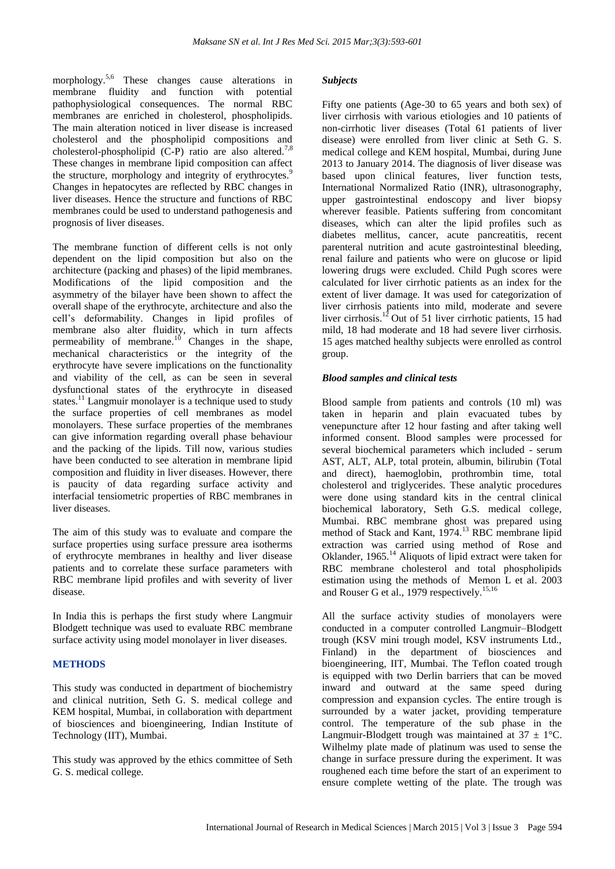morphology. 5,6 These changes cause alterations in membrane fluidity and function with potential pathophysiological consequences. The normal RBC membranes are enriched in cholesterol, phospholipids. The main alteration noticed in liver disease is increased cholesterol and the phospholipid compositions and cholesterol-phospholipid  $(C-P)$  ratio are also altered.<sup>7,8</sup> These changes in membrane lipid composition can affect the structure, morphology and integrity of erythrocytes.<sup>9</sup> Changes in hepatocytes are reflected by RBC changes in liver diseases. Hence the structure and functions of RBC membranes could be used to understand pathogenesis and prognosis of liver diseases.

The membrane function of different cells is not only dependent on the lipid composition but also on the architecture (packing and phases) of the lipid membranes. Modifications of the lipid composition and the asymmetry of the bilayer have been shown to affect the overall shape of the erythrocyte, architecture and also the cell"s deformability. Changes in lipid profiles of membrane also alter fluidity, which in turn affects permeability of membrane.<sup>10</sup> Changes in the shape, mechanical characteristics or the integrity of the erythrocyte have severe implications on the functionality and viability of the cell, as can be seen in several dysfunctional states of the erythrocyte in diseased states.<sup>11</sup> Langmuir monolayer is a technique used to study the surface properties of cell membranes as model monolayers. These surface properties of the membranes can give information regarding overall phase behaviour and the packing of the lipids. Till now, various studies have been conducted to see alteration in membrane lipid composition and fluidity in liver diseases. However, there is paucity of data regarding surface activity and interfacial tensiometric properties of RBC membranes in liver diseases.

The aim of this study was to evaluate and compare the surface properties using surface pressure area isotherms of erythrocyte membranes in healthy and liver disease patients and to correlate these surface parameters with RBC membrane lipid profiles and with severity of liver disease.

In India this is perhaps the first study where Langmuir Blodgett technique was used to evaluate RBC membrane surface activity using model monolayer in liver diseases.

# **METHODS**

This study was conducted in department of biochemistry and clinical nutrition, Seth G. S. medical college and KEM hospital, Mumbai, in collaboration with department of biosciences and bioengineering, Indian Institute of Technology (IIT), Mumbai.

This study was approved by the ethics committee of Seth G. S. medical college.

### *Subjects*

Fifty one patients (Age-30 to 65 years and both sex) of liver cirrhosis with various etiologies and 10 patients of non-cirrhotic liver diseases (Total 61 patients of liver disease) were enrolled from liver clinic at Seth G. S. medical college and KEM hospital, Mumbai, during June 2013 to January 2014. The diagnosis of liver disease was based upon clinical features, liver function tests, International Normalized Ratio (INR), ultrasonography, upper gastrointestinal endoscopy and liver biopsy wherever feasible. Patients suffering from concomitant diseases, which can alter the lipid profiles such as diabetes mellitus, cancer, acute pancreatitis, recent parenteral nutrition and acute gastrointestinal bleeding, renal failure and patients who were on glucose or lipid lowering drugs were excluded. Child Pugh scores were calculated for liver cirrhotic patients as an index for the extent of liver damage. It was used for categorization of liver cirrhosis patients into mild, moderate and severe liver cirrhosis.<sup>12</sup> Out of 51 liver cirrhotic patients, 15 had mild, 18 had moderate and 18 had severe liver cirrhosis. 15 ages matched healthy subjects were enrolled as control group.

# *Blood samples and clinical tests*

Blood sample from patients and controls (10 ml) was taken in heparin and plain evacuated tubes by venepuncture after 12 hour fasting and after taking well informed consent. Blood samples were processed for several biochemical parameters which included - serum AST, ALT, ALP, total protein, albumin, bilirubin (Total and direct), haemoglobin, prothrombin time, total cholesterol and triglycerides. These analytic procedures were done using standard kits in the central clinical biochemical laboratory, Seth G.S. medical college, Mumbai. RBC membrane ghost was prepared using method of Stack and Kant, 1974.<sup>13</sup> RBC membrane lipid extraction was carried using method of Rose and Oklander, 1965.<sup>14</sup> Aliquots of lipid extract were taken for RBC membrane cholesterol and total phospholipids estimation using the methods of Memon L et al. 2003 and Rouser G et al., 1979 respectively.<sup>15,16</sup>

All the surface activity studies of monolayers were conducted in a computer controlled Langmuir–Blodgett trough (KSV mini trough model, KSV instruments Ltd., Finland) in the department of biosciences and bioengineering, IIT, Mumbai. The Teflon coated trough is equipped with two Derlin barriers that can be moved inward and outward at the same speed during compression and expansion cycles. The entire trough is surrounded by a water jacket, providing temperature control. The temperature of the sub phase in the Langmuir-Blodgett trough was maintained at  $37 \pm 1^{\circ}$ C. Wilhelmy plate made of platinum was used to sense the change in surface pressure during the experiment. It was roughened each time before the start of an experiment to ensure complete wetting of the plate. The trough was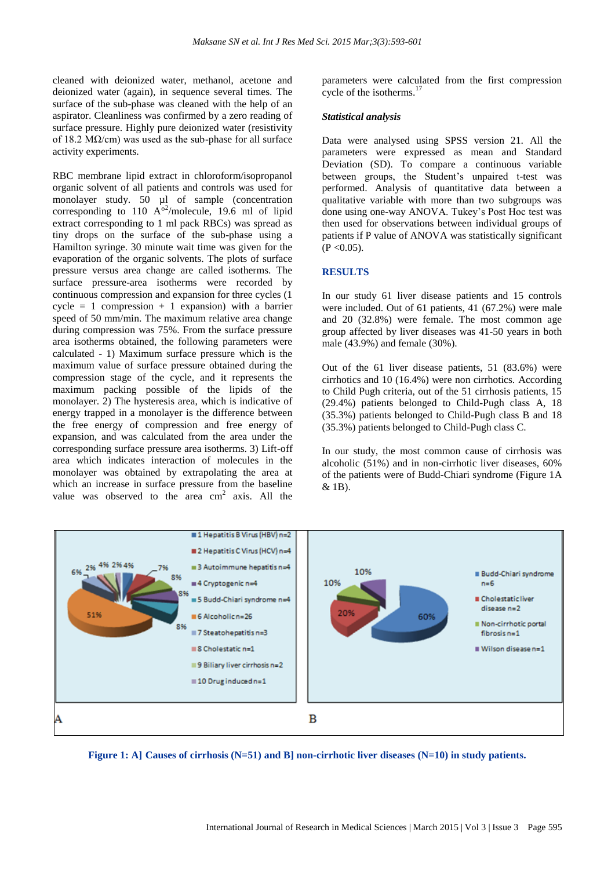cleaned with deionized water, methanol, acetone and deionized water (again), in sequence several times. The surface of the sub-phase was cleaned with the help of an aspirator. Cleanliness was confirmed by a zero reading of surface pressure. Highly pure deionized water (resistivity of 18.2 M $\Omega$ /cm) was used as the sub-phase for all surface activity experiments.

RBC membrane lipid extract in chloroform/isopropanol organic solvent of all patients and controls was used for monolayer study. 50 µl of sample (concentration corresponding to 110  $A^{\circ2}$ /molecule, 19.6 ml of lipid extract corresponding to 1 ml pack RBCs) was spread as tiny drops on the surface of the sub-phase using a Hamilton syringe. 30 minute wait time was given for the evaporation of the organic solvents. The plots of surface pressure versus area change are called isotherms. The surface pressure-area isotherms were recorded by continuous compression and expansion for three cycles (1  $cycle = 1$  compression + 1 expansion) with a barrier speed of 50 mm/min. The maximum relative area change during compression was 75%. From the surface pressure area isotherms obtained, the following parameters were calculated - 1) Maximum surface pressure which is the maximum value of surface pressure obtained during the compression stage of the cycle, and it represents the maximum packing possible of the lipids of the monolayer. 2) The hysteresis area, which is indicative of energy trapped in a monolayer is the difference between the free energy of compression and free energy of expansion, and was calculated from the area under the corresponding surface pressure area isotherms. 3) Lift-off area which indicates interaction of molecules in the monolayer was obtained by extrapolating the area at which an increase in surface pressure from the baseline value was observed to the area  $cm<sup>2</sup>$  axis. All the parameters were calculated from the first compression cycle of the isotherms.<sup>17</sup>

#### *Statistical analysis*

Data were analysed using SPSS version 21. All the parameters were expressed as mean and Standard Deviation (SD). To compare a continuous variable between groups, the Student"s unpaired t-test was performed. Analysis of quantitative data between a qualitative variable with more than two subgroups was done using one-way ANOVA. Tukey"s Post Hoc test was then used for observations between individual groups of patients if P value of ANOVA was statistically significant  $(P < 0.05)$ .

#### **RESULTS**

In our study 61 liver disease patients and 15 controls were included. Out of 61 patients, 41 (67.2%) were male and 20 (32.8%) were female. The most common age group affected by liver diseases was 41-50 years in both male (43.9%) and female (30%).

Out of the 61 liver disease patients, 51 (83.6%) were cirrhotics and 10 (16.4%) were non cirrhotics. According to Child Pugh criteria, out of the 51 cirrhosis patients, 15 (29.4%) patients belonged to Child-Pugh class A, 18 (35.3%) patients belonged to Child-Pugh class B and 18 (35.3%) patients belonged to Child-Pugh class C.

In our study, the most common cause of cirrhosis was alcoholic (51%) and in non-cirrhotic liver diseases, 60% of the patients were of Budd-Chiari syndrome (Figure 1A & 1B).



**Figure 1: A] Causes of cirrhosis (N=51) and B] non-cirrhotic liver diseases (N=10) in study patients.**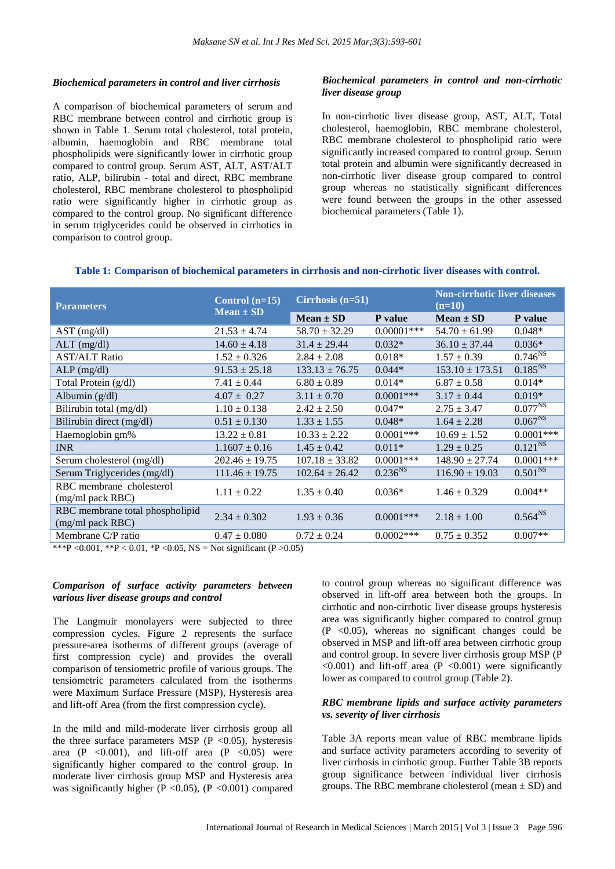#### *Biochemical parameters in control and liver cirrhosis*

A comparison of biochemical parameters of serum and RBC membrane between control and cirrhotic group is shown in Table 1. Serum total cholesterol, total protein, albumin, haemoglobin and RBC membrane total phospholipids were significantly lower in cirrhotic group compared to control group. Serum AST, ALT, AST/ALT ratio, ALP, bilirubin - total and direct, RBC membrane cholesterol, RBC membrane cholesterol to phospholipid ratio were significantly higher in cirrhotic group as compared to the control group. No significant difference in serum triglycerides could be observed in cirrhotics in comparison to control group.

# *Biochemical parameters in control and non-cirrhotic liver disease group*

In non-cirrhotic liver disease group, AST, ALT, Total cholesterol, haemoglobin, RBC membrane cholesterol, RBC membrane cholesterol to phospholipid ratio were significantly increased compared to control group. Serum total protein and albumin were significantly decreased in non-cirrhotic liver disease group compared to control group whereas no statistically significant differences were found between the groups in the other assessed biochemical parameters (Table 1).

| <b>Parameters</b>                                   | Control $(n=15)$<br>$Mean \pm SD$ | Cirrhosis $(n=51)$ |               | <b>Non-cirrhotic liver diseases</b><br>$(n=10)$ |              |
|-----------------------------------------------------|-----------------------------------|--------------------|---------------|-------------------------------------------------|--------------|
|                                                     |                                   | $Mean \pm SD$      | P value       | $Mean \pm SD$                                   | P value      |
| AST (mg/dl)                                         | $21.53 \pm 4.74$                  | $58.70 \pm 32.29$  | $0.00001$ *** | $54.70 \pm 61.99$                               | $0.048*$     |
| $ALT$ (mg/dl)                                       | $14.60 \pm 4.18$                  | $31.4 \pm 29.44$   | $0.032*$      | $36.10 \pm 37.44$                               | $0.036*$     |
| <b>AST/ALT Ratio</b>                                | $1.52 \pm 0.326$                  | $2.84 \pm 2.08$    | $0.018*$      | $1.57 \pm 0.39$                                 | $0.746^{NS}$ |
| $ALP$ (mg/dl)                                       | $91.53 \pm 25.18$                 | $133.13 \pm 76.75$ | $0.044*$      | $153.10 \pm 173.51$                             | $0.185^{NS}$ |
| Total Protein (g/dl)                                | $7.41 \pm 0.44$                   | $6.80 \pm 0.89$    | $0.014*$      | $6.87 \pm 0.58$                                 | $0.014*$     |
| Albumin $(g/dl)$                                    | $4.07 \pm 0.27$                   | $3.11 \pm 0.70$    | $0.0001$ ***  | $3.17 \pm 0.44$                                 | $0.019*$     |
| Bilirubin total (mg/dl)                             | $1.10 \pm 0.138$                  | $2.42 \pm 2.50$    | $0.047*$      | $2.75 \pm 3.47$                                 | $0.077^{NS}$ |
| Bilirubin direct (mg/dl)                            | $0.51 \pm 0.130$                  | $1.33 \pm 1.55$    | $0.048*$      | $1.64 \pm 2.28$                                 | $0.067^{NS}$ |
| Haemoglobin gm%                                     | $13.22 \pm 0.81$                  | $10.33 \pm 2.22$   | $0.0001$ ***  | $10.69 \pm 1.52$                                | $0.0001***$  |
| <b>INR</b>                                          | $1.1607 \pm 0.16$                 | $1.45 \pm 0.42$    | $0.011*$      | $1.29 \pm 0.25$                                 | $0.121^{NS}$ |
| Serum cholesterol (mg/dl)                           | $202.46 \pm 19.75$                | $107.18 \pm 33.82$ | $0.0001$ ***  | $148.90 \pm 27.74$                              | $0.0001***$  |
| Serum Triglycerides (mg/dl)                         | $111.46 \pm 19.75$                | $102.64 \pm 26.42$ | $0.236^{NS}$  | $116.90 \pm 19.03$                              | $0.501^{NS}$ |
| RBC membrane cholesterol                            | $1.11 \pm 0.22$                   | $1.35 \pm 0.40$    | $0.036*$      | $1.46 \pm 0.329$                                | $0.004**$    |
| (mg/ml pack RBC)                                    |                                   |                    |               |                                                 |              |
| RBC membrane total phospholipid<br>(mg/ml pack RBC) | $2.34 \pm 0.302$                  | $1.93 \pm 0.36$    | $0.0001$ ***  | $2.18 \pm 1.00$                                 | $0.564^{NS}$ |
| Membrane C/P ratio                                  | $0.47 \pm 0.080$                  | $0.72 \pm 0.24$    | $0.0002$ ***  | $0.75 \pm 0.352$                                | $0.007**$    |

#### **Table 1: Comparison of biochemical parameters in cirrhosis and non-cirrhotic liver diseases with control.**

\*\*\*P < 0.001, \*\*P < 0.01, \*P < 0.05, NS = Not significant (P > 0.05)

# *Comparison of surface activity parameters between various liver disease groups and control*

The Langmuir monolayers were subjected to three compression cycles. Figure 2 represents the surface pressure-area isotherms of different groups (average of first compression cycle) and provides the overall comparison of tensiometric profile of various groups. The tensiometric parameters calculated from the isotherms were Maximum Surface Pressure (MSP), Hysteresis area and lift-off Area (from the first compression cycle).

In the mild and mild-moderate liver cirrhosis group all the three surface parameters MSP ( $P < 0.05$ ), hysteresis area (P  $< 0.001$ ), and lift-off area (P  $< 0.05$ ) were significantly higher compared to the control group. In moderate liver cirrhosis group MSP and Hysteresis area was significantly higher (P < 0.05), (P < 0.001) compared to control group whereas no significant difference was observed in lift-off area between both the groups. In cirrhotic and non-cirrhotic liver disease groups hysteresis area was significantly higher compared to control group  $(P \le 0.05)$ , whereas no significant changes could be observed in MSP and lift-off area between cirrhotic group and control group. In severe liver cirrhosis group MSP (P  $\langle 0.001 \rangle$  and lift-off area (P  $\langle 0.001 \rangle$ ) were significantly lower as compared to control group (Table 2).

# *RBC membrane lipids and surface activity parameters vs. severity of liver cirrhosis*

Table 3A reports mean value of RBC membrane lipids and surface activity parameters according to severity of liver cirrhosis in cirrhotic group. Further Table 3B reports group significance between individual liver cirrhosis groups. The RBC membrane cholesterol (mean  $\pm$  SD) and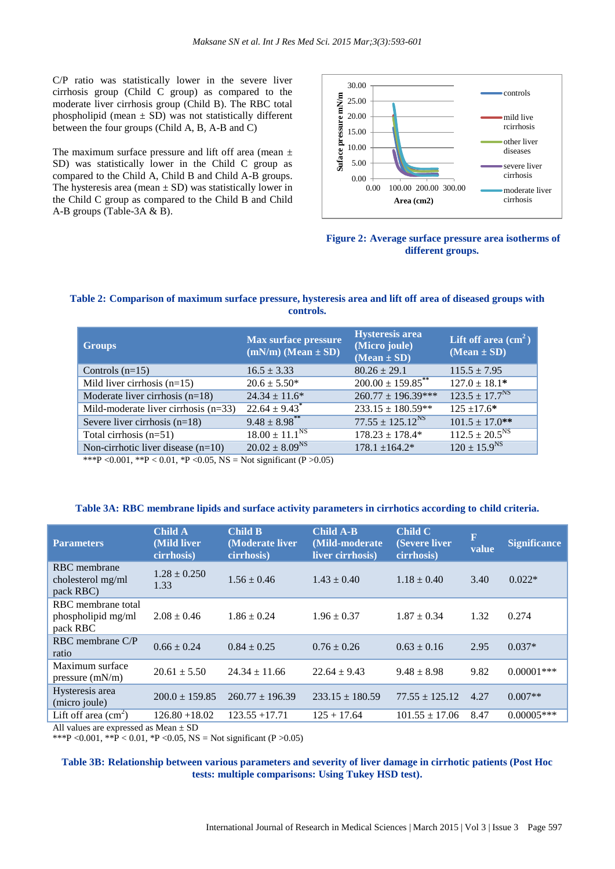C/P ratio was statistically lower in the severe liver cirrhosis group (Child C group) as compared to the moderate liver cirrhosis group (Child B). The RBC total phospholipid (mean  $\pm$  SD) was not statistically different between the four groups (Child A, B, A-B and C)

The maximum surface pressure and lift off area (mean  $\pm$ SD) was statistically lower in the Child C group as compared to the Child A, Child B and Child A-B groups. The hysteresis area (mean  $\pm$  SD) was statistically lower in the Child C group as compared to the Child B and Child A-B groups (Table-3A & B).



**Figure 2: Average surface pressure area isotherms of different groups.**

# **Table 2: Comparison of maximum surface pressure, hysteresis area and lift off area of diseased groups with controls.**

| <b>Groups</b>                          | <b>Max surface pressure</b><br>$(mN/m)$ (Mean $\pm$ SD)                                                              | <b>Hysteresis</b> area<br>(Micro joule)<br>$(Mean \pm SD)$ | Lift off area $(cm2)$<br>$(Mean \pm SD)$ |
|----------------------------------------|----------------------------------------------------------------------------------------------------------------------|------------------------------------------------------------|------------------------------------------|
| Controls $(n=15)$                      | $16.5 \pm 3.33$                                                                                                      | $80.26 \pm 29.1$                                           | $115.5 \pm 7.95$                         |
| Mild liver cirrhosis $(n=15)$          | $20.6 \pm 5.50*$                                                                                                     | $200.00 \pm 159.85$ <sup>**</sup>                          | $127.0 \pm 18.1*$                        |
| Moderate liver cirrhosis $(n=18)$      | $24.34 \pm 11.6^*$                                                                                                   | $260.77 \pm 196.39***$                                     | $123.5 \pm 17.7^{NS}$                    |
| Mild-moderate liver cirrhosis $(n=33)$ | $22.64 \pm 9.43$ <sup>*</sup>                                                                                        | $233.15 \pm 180.59**$                                      | $125 + 17.6*$                            |
| Severe liver cirrhosis $(n=18)$        | $9.48 \pm 8.98$ **                                                                                                   | $77.55 \pm 125.12^{NS}$                                    | $101.5 \pm 17.0$ **                      |
| Total cirrhosis $(n=51)$               | $18.00 \pm 11.1$ <sup>NS</sup>                                                                                       | $178.23 \pm 178.4*$                                        | $112.5 \pm 20.5^{NS}$                    |
| Non-cirrhotic liver disease $(n=10)$   | $20.02 \pm 8.09^{NS}$                                                                                                | $178.1 \pm 164.2*$                                         | $120 \pm 15.9^{NS}$                      |
|                                        | $\mathbf{v}$ $\mathbf{v}$ $\mathbf{v}$ $\mathbf{v}$ $\mathbf{v}$ $\mathbf{v}$ $\mathbf{v}$ $\mathbf{v}$ $\mathbf{v}$ |                                                            |                                          |

\*\*\*P < 0.001, \*\*P < 0.01, \*P < 0.05, NS = Not significant (P > 0.05)

#### **Table 3A: RBC membrane lipids and surface activity parameters in cirrhotics according to child criteria.**

| <b>Parameters</b>                                     | <b>Child A</b><br>(Mild liver<br>cirrhosis) | <b>Child B</b><br>(Moderate liver<br>cirrhosis) | <b>Child A-B</b><br>(Mild-moderate<br>liver cirrhosis) | Child C<br>(Severe liver<br>cirrhosis) | R<br>value | <b>Significance</b> |
|-------------------------------------------------------|---------------------------------------------|-------------------------------------------------|--------------------------------------------------------|----------------------------------------|------------|---------------------|
| <b>RBC</b> membrane<br>cholesterol mg/ml<br>pack RBC) | $1.28 \pm 0.250$<br>1.33                    | $1.56 \pm 0.46$                                 | $1.43 \pm 0.40$                                        | $1.18 \pm 0.40$                        | 3.40       | $0.022*$            |
| RBC membrane total<br>phospholipid mg/ml<br>pack RBC  | $2.08 \pm 0.46$                             | $1.86 \pm 0.24$                                 | $1.96 \pm 0.37$                                        | $1.87 \pm 0.34$                        | 1.32       | 0.274               |
| RBC membrane C/P<br>ratio                             | $0.66 \pm 0.24$                             | $0.84 \pm 0.25$                                 | $0.76 \pm 0.26$                                        | $0.63 \pm 0.16$                        | 2.95       | $0.037*$            |
| Maximum surface<br>pressure (mN/m)                    | $20.61 \pm 5.50$                            | $24.34 \pm 11.66$                               | $22.64 \pm 9.43$                                       | $9.48 \pm 8.98$                        | 9.82       | $0.00001$ ***       |
| Hysteresis area<br>(micro joule)                      | $200.0 \pm 159.85$                          | $260.77 \pm 196.39$                             | $233.15 \pm 180.59$                                    | $77.55 \pm 125.12$                     | 4.27       | $0.007**$           |
| Lift off area $(cm2)$                                 | $126.80 + 18.02$                            | $123.55 + 17.71$                                | $125 + 17.64$                                          | $101.55 \pm 17.06$                     | 8.47       | $0.00005***$        |

All values are expressed as Mean ± SD

\*\*\*P < 0.001, \*\*P < 0.01, \*P < 0.05, NS = Not significant (P > 0.05)

### **Table 3B: Relationship between various parameters and severity of liver damage in cirrhotic patients (Post Hoc tests: multiple comparisons: Using Tukey HSD test).**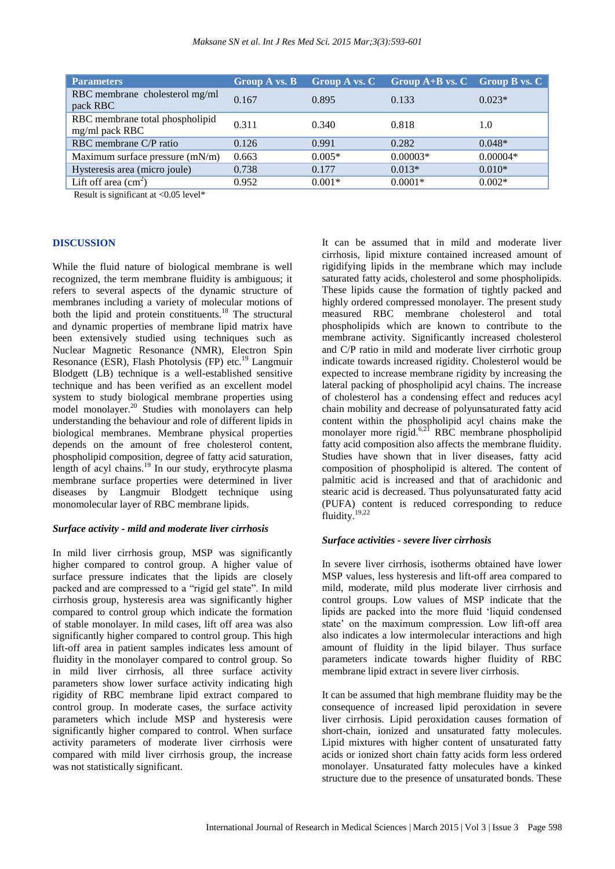| <b>Parameters</b>                                 | <b>Group A vs. B</b> | <b>Group A vs. C</b> | $\overline{G}$ roup $\overline{A}$ + B vs. C Group B vs. C |            |
|---------------------------------------------------|----------------------|----------------------|------------------------------------------------------------|------------|
| RBC membrane cholesterol mg/ml<br>pack RBC        | 0.167                | 0.895                | 0.133                                                      | $0.023*$   |
| RBC membrane total phospholipid<br>mg/ml pack RBC | 0.311                | 0.340                | 0.818                                                      | 1.0        |
| RBC membrane C/P ratio                            | 0.126                | 0.991                | 0.282                                                      | $0.048*$   |
| Maximum surface pressure (mN/m)                   | 0.663                | $0.005*$             | $0.00003*$                                                 | $0.00004*$ |
| Hysteresis area (micro joule)                     | 0.738                | 0.177                | $0.013*$                                                   | $0.010*$   |
| Lift off area $\text{cm}^2$ )                     | 0.952                | $0.001*$             | $0.0001*$                                                  | $0.002*$   |

Result is significant at <0.05 level\*

#### **DISCUSSION**

While the fluid nature of biological membrane is well recognized, the term membrane fluidity is ambiguous; it refers to several aspects of the dynamic structure of membranes including a variety of molecular motions of both the lipid and protein constituents.<sup>18</sup> The structural and dynamic properties of membrane lipid matrix have been extensively studied using techniques such as Nuclear Magnetic Resonance (NMR), Electron Spin Resonance (ESR), Flash Photolysis (FP) etc.<sup>19</sup> Langmuir Blodgett (LB) technique is a well-established sensitive technique and has been verified as an excellent model system to study biological membrane properties using model monolayer.<sup>20</sup> Studies with monolayers can help understanding the behaviour and role of different lipids in biological membranes. Membrane physical properties depends on the amount of free cholesterol content, phospholipid composition, degree of fatty acid saturation, length of acyl chains.<sup>19</sup> In our study, erythrocyte plasma membrane surface properties were determined in liver diseases by Langmuir Blodgett technique using monomolecular layer of RBC membrane lipids.

#### *Surface activity - mild and moderate liver cirrhosis*

In mild liver cirrhosis group, MSP was significantly higher compared to control group. A higher value of surface pressure indicates that the lipids are closely packed and are compressed to a "rigid gel state". In mild cirrhosis group, hysteresis area was significantly higher compared to control group which indicate the formation of stable monolayer. In mild cases, lift off area was also significantly higher compared to control group. This high lift-off area in patient samples indicates less amount of fluidity in the monolayer compared to control group. So in mild liver cirrhosis, all three surface activity parameters show lower surface activity indicating high rigidity of RBC membrane lipid extract compared to control group. In moderate cases, the surface activity parameters which include MSP and hysteresis were significantly higher compared to control. When surface activity parameters of moderate liver cirrhosis were compared with mild liver cirrhosis group, the increase was not statistically significant.

It can be assumed that in mild and moderate liver cirrhosis, lipid mixture contained increased amount of rigidifying lipids in the membrane which may include saturated fatty acids, cholesterol and some phospholipids. These lipids cause the formation of tightly packed and highly ordered compressed monolayer. The present study measured RBC membrane cholesterol and total phospholipids which are known to contribute to the membrane activity. Significantly increased cholesterol and C/P ratio in mild and moderate liver cirrhotic group indicate towards increased rigidity. Cholesterol would be expected to increase membrane rigidity by increasing the lateral packing of phospholipid acyl chains. The increase of cholesterol has a condensing effect and reduces acyl chain mobility and decrease of polyunsaturated fatty acid content within the phospholipid acyl chains make the monolayer more rigid. $6,21$  RBC membrane phospholipid fatty acid composition also affects the membrane fluidity. Studies have shown that in liver diseases, fatty acid composition of phospholipid is altered. The content of palmitic acid is increased and that of arachidonic and stearic acid is decreased. Thus polyunsaturated fatty acid (PUFA) content is reduced corresponding to reduce fluidity. $19,22$ 

#### *Surface activities - severe liver cirrhosis*

In severe liver cirrhosis, isotherms obtained have lower MSP values, less hysteresis and lift-off area compared to mild, moderate, mild plus moderate liver cirrhosis and control groups. Low values of MSP indicate that the lipids are packed into the more fluid "liquid condensed state' on the maximum compression. Low lift-off area also indicates a low intermolecular interactions and high amount of fluidity in the lipid bilayer. Thus surface parameters indicate towards higher fluidity of RBC membrane lipid extract in severe liver cirrhosis.

It can be assumed that high membrane fluidity may be the consequence of increased lipid peroxidation in severe liver cirrhosis. Lipid peroxidation causes formation of short-chain, ionized and unsaturated fatty molecules. Lipid mixtures with higher content of unsaturated fatty acids or ionized short chain fatty acids form less ordered monolayer. Unsaturated fatty molecules have a kinked structure due to the presence of unsaturated bonds. These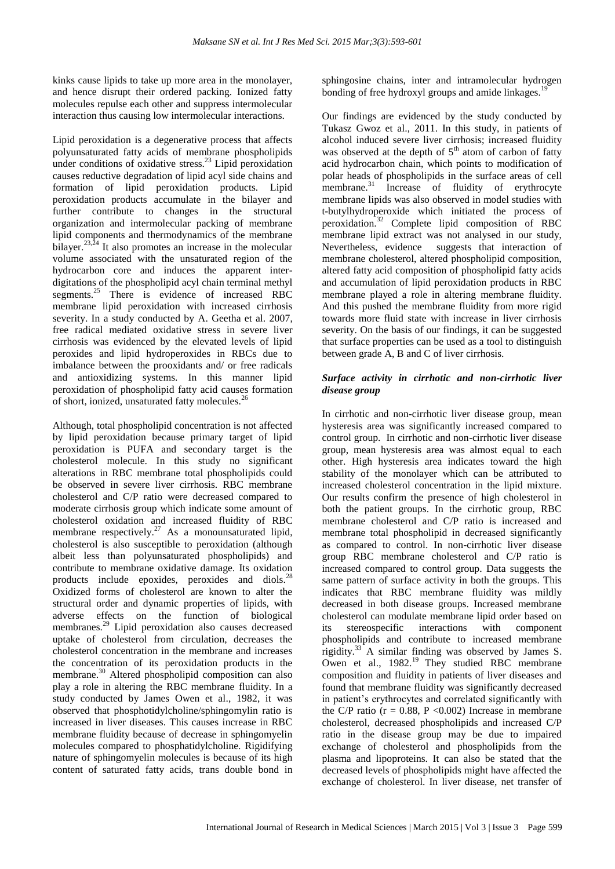kinks cause lipids to take up more area in the monolayer, and hence disrupt their ordered packing. Ionized fatty molecules repulse each other and suppress intermolecular interaction thus causing low intermolecular interactions.

Lipid peroxidation is a degenerative process that affects polyunsaturated fatty acids of membrane phospholipids under conditions of oxidative stress.<sup>23</sup> Lipid peroxidation causes reductive degradation of lipid acyl side chains and formation of lipid peroxidation products. Lipid peroxidation products accumulate in the bilayer and further contribute to changes in the structural organization and intermolecular packing of membrane lipid components and thermodynamics of the membrane bilayer.<sup>23,24</sup> It also promotes an increase in the molecular volume associated with the unsaturated region of the hydrocarbon core and induces the apparent interdigitations of the phospholipid acyl chain terminal methyl segments.<sup>25</sup> There is evidence of increased RBC membrane lipid peroxidation with increased cirrhosis severity. In a study conducted by A. Geetha et al. 2007, free radical mediated oxidative stress in severe liver cirrhosis was evidenced by the elevated levels of lipid peroxides and lipid hydroperoxides in RBCs due to imbalance between the prooxidants and/ or free radicals and antioxidizing systems. In this manner lipid peroxidation of phospholipid fatty acid causes formation of short, ionized, unsaturated fatty molecules.<sup>26</sup>

Although, total phospholipid concentration is not affected by lipid peroxidation because primary target of lipid peroxidation is PUFA and secondary target is the cholesterol molecule. In this study no significant alterations in RBC membrane total phospholipids could be observed in severe liver cirrhosis. RBC membrane cholesterol and C/P ratio were decreased compared to moderate cirrhosis group which indicate some amount of cholesterol oxidation and increased fluidity of RBC membrane respectively.<sup>27</sup> As a monounsaturated lipid, cholesterol is also susceptible to peroxidation (although albeit less than polyunsaturated phospholipids) and contribute to membrane oxidative damage. Its oxidation products include epoxides, peroxides and diols.<sup>28</sup> Oxidized forms of cholesterol are known to alter the structural order and dynamic properties of lipids, with adverse effects on the function of biological membranes.<sup>29</sup> Lipid peroxidation also causes decreased uptake of cholesterol from circulation, decreases the cholesterol concentration in the membrane and increases the concentration of its peroxidation products in the membrane.<sup>30</sup> Altered phospholipid composition can also play a role in altering the RBC membrane fluidity. In a study conducted by James Owen et al., 1982, it was observed that phosphotidylcholine/sphingomylin ratio is increased in liver diseases. This causes increase in RBC membrane fluidity because of decrease in sphingomyelin molecules compared to phosphatidylcholine. Rigidifying nature of sphingomyelin molecules is because of its high content of saturated fatty acids, trans double bond in sphingosine chains, inter and intramolecular hydrogen bonding of free hydroxyl groups and amide linkages.<sup>1</sup>

Our findings are evidenced by the study conducted by Tukasz Gwoz et al., 2011. In this study, in patients of alcohol induced severe liver cirrhosis; increased fluidity was observed at the depth of  $5<sup>th</sup>$  atom of carbon of fatty acid hydrocarbon chain, which points to modification of polar heads of phospholipids in the surface areas of cell membrane.<sup>31</sup> Increase of fluidity of erythrocyte membrane lipids was also observed in model studies with t-butylhydroperoxide which initiated the process of peroxidation.<sup>32</sup> Complete lipid composition of RBC membrane lipid extract was not analysed in our study, Nevertheless, evidence suggests that interaction of membrane cholesterol, altered phospholipid composition, altered fatty acid composition of phospholipid fatty acids and accumulation of lipid peroxidation products in RBC membrane played a role in altering membrane fluidity. And this pushed the membrane fluidity from more rigid towards more fluid state with increase in liver cirrhosis severity. On the basis of our findings, it can be suggested that surface properties can be used as a tool to distinguish between grade A, B and C of liver cirrhosis.

# *Surface activity in cirrhotic and non-cirrhotic liver disease group*

In cirrhotic and non-cirrhotic liver disease group, mean hysteresis area was significantly increased compared to control group. In cirrhotic and non-cirrhotic liver disease group, mean hysteresis area was almost equal to each other. High hysteresis area indicates toward the high stability of the monolayer which can be attributed to increased cholesterol concentration in the lipid mixture. Our results confirm the presence of high cholesterol in both the patient groups. In the cirrhotic group, RBC membrane cholesterol and C/P ratio is increased and membrane total phospholipid in decreased significantly as compared to control. In non-cirrhotic liver disease group RBC membrane cholesterol and C/P ratio is increased compared to control group. Data suggests the same pattern of surface activity in both the groups. This indicates that RBC membrane fluidity was mildly decreased in both disease groups. Increased membrane cholesterol can modulate membrane lipid order based on its stereospecific interactions with component phospholipids and contribute to increased membrane rigidity.<sup>33</sup> A similar finding was observed by James S. Owen et al.,  $1982.<sup>19</sup>$  They studied RBC membrane composition and fluidity in patients of liver diseases and found that membrane fluidity was significantly decreased in patient"s erythrocytes and correlated significantly with the C/P ratio ( $r = 0.88$ , P < 0.002) Increase in membrane cholesterol, decreased phospholipids and increased C/P ratio in the disease group may be due to impaired exchange of cholesterol and phospholipids from the plasma and lipoproteins. It can also be stated that the decreased levels of phospholipids might have affected the exchange of cholesterol. In liver disease, net transfer of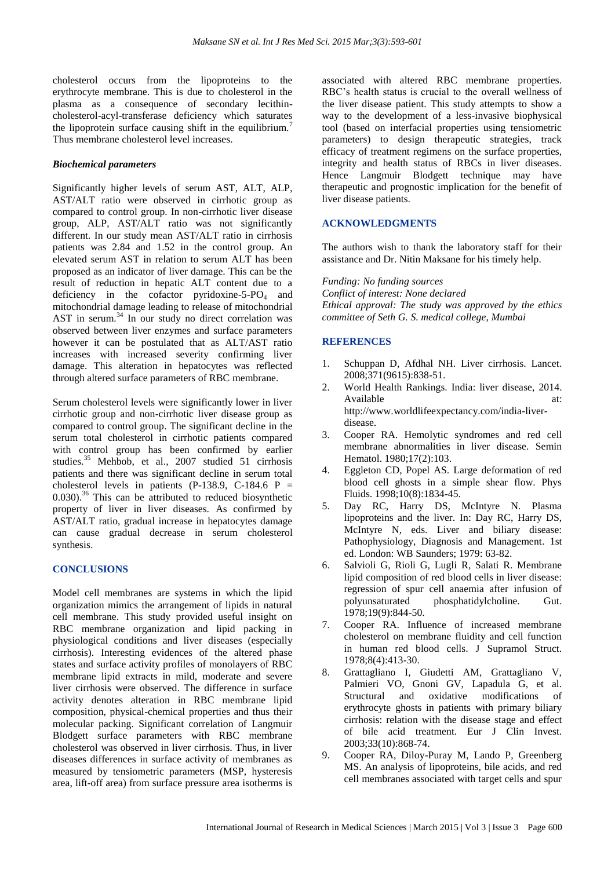cholesterol occurs from the lipoproteins to the erythrocyte membrane. This is due to cholesterol in the plasma as a consequence of secondary lecithincholesterol-acyl-transferase deficiency which saturates the lipoprotein surface causing shift in the equilibrium.<sup>7</sup> Thus membrane cholesterol level increases.

#### *Biochemical parameters*

Significantly higher levels of serum AST, ALT, ALP, AST/ALT ratio were observed in cirrhotic group as compared to control group. In non-cirrhotic liver disease group, ALP, AST/ALT ratio was not significantly different. In our study mean AST/ALT ratio in cirrhosis patients was 2.84 and 1.52 in the control group. An elevated serum AST in relation to serum ALT has been proposed as an indicator of liver damage. This can be the result of reduction in hepatic ALT content due to a deficiency in the cofactor pyridoxine-5- $P_{\text{O}_4}$  and mitochondrial damage leading to release of mitochondrial AST in serum. $34$  In our study no direct correlation was observed between liver enzymes and surface parameters however it can be postulated that as ALT/AST ratio increases with increased severity confirming liver damage. This alteration in hepatocytes was reflected through altered surface parameters of RBC membrane.

Serum cholesterol levels were significantly lower in liver cirrhotic group and non-cirrhotic liver disease group as compared to control group. The significant decline in the serum total cholesterol in cirrhotic patients compared with control group has been confirmed by earlier studies.<sup>35</sup> Mehbob, et al., 2007 studied 51 cirrhosis patients and there was significant decline in serum total cholesterol levels in patients (P-138.9, C-184.6 P =  $(0.030)$ <sup>36</sup>. This can be attributed to reduced biosynthetic property of liver in liver diseases. As confirmed by AST/ALT ratio, gradual increase in hepatocytes damage can cause gradual decrease in serum cholesterol synthesis.

### **CONCLUSIONS**

Model cell membranes are systems in which the lipid organization mimics the arrangement of lipids in natural cell membrane. This study provided useful insight on RBC membrane organization and lipid packing in physiological conditions and liver diseases (especially cirrhosis). Interesting evidences of the altered phase states and surface activity profiles of monolayers of RBC membrane lipid extracts in mild, moderate and severe liver cirrhosis were observed. The difference in surface activity denotes alteration in RBC membrane lipid composition, physical-chemical properties and thus their molecular packing. Significant correlation of Langmuir Blodgett surface parameters with RBC membrane cholesterol was observed in liver cirrhosis. Thus, in liver diseases differences in surface activity of membranes as measured by tensiometric parameters (MSP, hysteresis area, lift-off area) from surface pressure area isotherms is associated with altered RBC membrane properties. RBC"s health status is crucial to the overall wellness of the liver disease patient. This study attempts to show a way to the development of a less-invasive biophysical tool (based on interfacial properties using tensiometric parameters) to design therapeutic strategies, track efficacy of treatment regimens on the surface properties, integrity and health status of RBCs in liver diseases. Hence Langmuir Blodgett technique may have therapeutic and prognostic implication for the benefit of liver disease patients.

# **ACKNOWLEDGMENTS**

The authors wish to thank the laboratory staff for their assistance and Dr. Nitin Maksane for his timely help.

#### *Funding: No funding sources*

*Conflict of interest: None declared Ethical approval: The study was approved by the ethics committee of Seth G. S. medical college, Mumbai*

#### **REFERENCES**

- 1. Schuppan D, Afdhal NH. Liver cirrhosis. Lancet. 2008;371(9615):838-51.
- 2. World Health Rankings. India: liver disease, 2014. Available at: at: http://www.worldlifeexpectancy.com/india-liverdisease.
- 3. Cooper RA. Hemolytic syndromes and red cell membrane abnormalities in liver disease. Semin Hematol. 1980;17(2):103.
- 4. Eggleton CD, Popel AS. Large deformation of red blood cell ghosts in a simple shear flow. Phys Fluids. 1998;10(8):1834-45.
- 5. Day RC, Harry DS, McIntyre N. Plasma lipoproteins and the liver. In: Day RC, Harry DS, McIntyre N, eds. Liver and biliary disease: Pathophysiology, Diagnosis and Management. 1st ed. London: WB Saunders; 1979: 63-82.
- 6. Salvioli G, Rioli G, Lugli R, Salati R. Membrane lipid composition of red blood cells in liver disease: regression of spur cell anaemia after infusion of polyunsaturated phosphatidylcholine. Gut. 1978;19(9):844-50.
- 7. Cooper RA. Influence of increased membrane cholesterol on membrane fluidity and cell function in human red blood cells. J Supramol Struct. 1978;8(4):413-30.
- 8. Grattagliano I, Giudetti AM, Grattagliano V, Palmieri VO, Gnoni GV, Lapadula G, et al. Structural and oxidative modifications of erythrocyte ghosts in patients with primary biliary cirrhosis: relation with the disease stage and effect of bile acid treatment. Eur J Clin Invest. 2003;33(10):868-74.
- 9. Cooper RA, Diloy-Puray M, Lando P, Greenberg MS. An analysis of lipoproteins, bile acids, and red cell membranes associated with target cells and spur